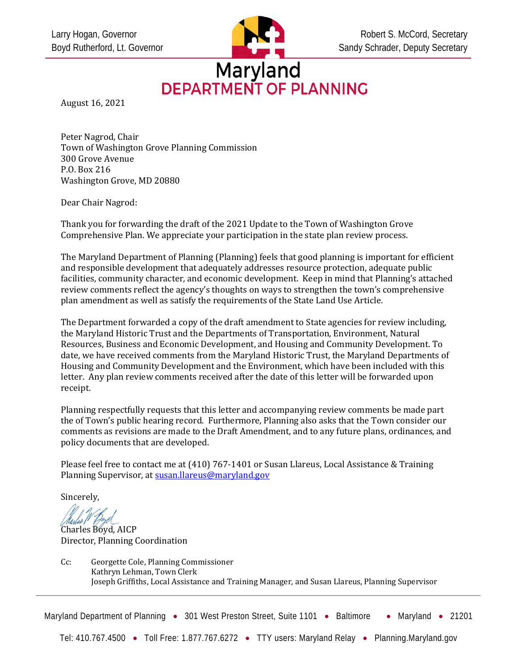

# Maryland<br>DEPARTMENT OF PLANNING

August 16, 2021

Peter Nagrod, Chair Town of Washington Grove Planning Commission 300 Grove Avenue P.O. Box 216 Washington Grove, MD 20880

Dear Chair Nagrod:

Thank you for forwarding the draft of the 2021 Update to the Town of Washington Grove Comprehensive Plan. We appreciate your participation in the state plan review process.

The Maryland Department of Planning (Planning) feels that good planning is important for efficient and responsible development that adequately addresses resource protection, adequate public facilities, community character, and economic development. Keep in mind that Planning's attached review comments reflect the agency's thoughts on ways to strengthen the town's comprehensive plan amendment as well as satisfy the requirements of the State Land Use Article.

The Department forwarded a copy of the draft amendment to State agencies for review including, the Maryland Historic Trust and the Departments of Transportation, Environment, Natural Resources, Business and Economic Development, and Housing and Community Development. To date, we have received comments from the Maryland Historic Trust, the Maryland Departments of Housing and Community Development and the Environment, which have been included with this letter. Any plan review comments received after the date of this letter will be forwarded upon receipt.

Planning respectfully requests that this letter and accompanying review comments be made part the of Town's public hearing record. Furthermore, Planning also asks that the Town consider our comments as revisions are made to the Draft Amendment, and to any future plans, ordinances, and policy documents that are developed.

Please feel free to contact me at (410) 767-1401 or Susan Llareus, Local Assistance & Training Planning Supervisor, at susan.llareus@maryland.gov

Sincerely,

Charles Boyd, AICP Director, Planning Coordination

Cc: Georgette Cole, Planning Commissioner Kathryn Lehman, Town Clerk Joseph Griffiths, Local Assistance and Training Manager, and Susan Llareus, Planning Supervisor

Maryland Department of Planning • 301 West Preston Street, Suite 1101 • Baltimore • Maryland • 21201

Tel: 410.767.4500 • Toll Free: 1.877.767.6272 • TTY users: Maryland Relay • Planning.Maryland.gov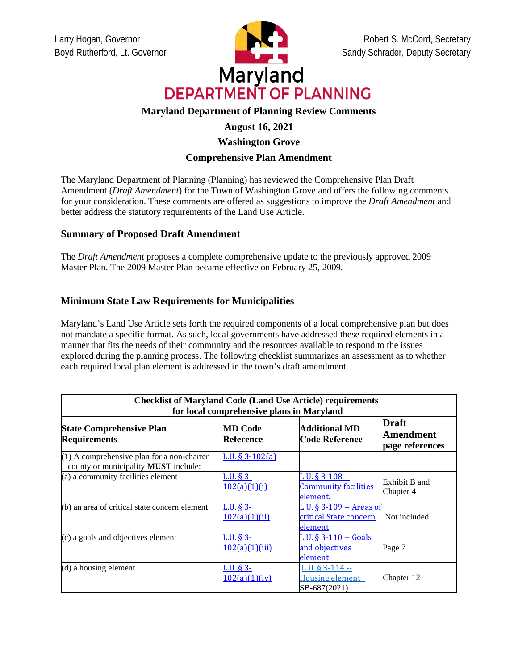

# Maryland **DEPARTMENT OF PLANNING**

# **Maryland Department of Planning Review Comments**

# **August 16, 2021**

# **Washington Grove**

# **Comprehensive Plan Amendment**

The Maryland Department of Planning (Planning) has reviewed the Comprehensive Plan Draft Amendment (*Draft Amendment*) for the Town of Washington Grove and offers the following comments for your consideration. These comments are offered as suggestions to improve the *Draft Amendment* and better address the statutory requirements of the Land Use Article.

#### **Summary of Proposed Draft Amendment**

The *Draft Amendment* proposes a complete comprehensive update to the previously approved 2009 Master Plan. The 2009 Master Plan became effective on February 25, 2009*.*

### **Minimum State Law Requirements for Municipalities**

Maryland's Land Use Article sets forth the required components of a local comprehensive plan but does not mandate a specific format. As such, local governments have addressed these required elements in a manner that fits the needs of their community and the resources available to respond to the issues explored during the planning process. The following checklist summarizes an assessment as to whether each required local plan element is addressed in the town's draft amendment.

| <b>Checklist of Maryland Code (Land Use Article) requirements</b><br>for local comprehensive plans in Maryland |                                     |                                                                   |                                              |  |
|----------------------------------------------------------------------------------------------------------------|-------------------------------------|-------------------------------------------------------------------|----------------------------------------------|--|
| <b>State Comprehensive Plan</b><br><b>Requirements</b>                                                         | <b>MD Code</b><br>Reference         | Additional MD<br><b>Code Reference</b>                            | <b>Draft</b><br>Amendment<br>page references |  |
| $(1)$ A comprehensive plan for a non-charter<br>county or municipality MUST include:                           | L.U. $\S 3 - 102(a)$                |                                                                   |                                              |  |
| (a) a community facilities element                                                                             | <u>L.U. § 3-</u><br>102(a)(1)(i)    | <u>L.U. § 3-108 --</u><br><b>Community facilities</b><br>element. | Exhibit B and<br>Chapter 4                   |  |
| (b) an area of critical state concern element                                                                  | $L.U.$ § 3-<br><u>102(a)(1)(ii)</u> | L.U. § 3-109 -- Areas of<br>critical State concern<br>element     | Not included                                 |  |
| (c) a goals and objectives element                                                                             | $L.U. § 3-$<br>102(a)(1)(iii)       | L.U. § 3-110 -- Goals<br>and objectives<br>element                | Page 7                                       |  |
| $(d)$ a housing element                                                                                        | L.U. § 3-<br>102(a)(1)(iv)          | L.U. $$3-114-$<br><b>Housing element</b><br>SB-687(2021)          | Chapter 12                                   |  |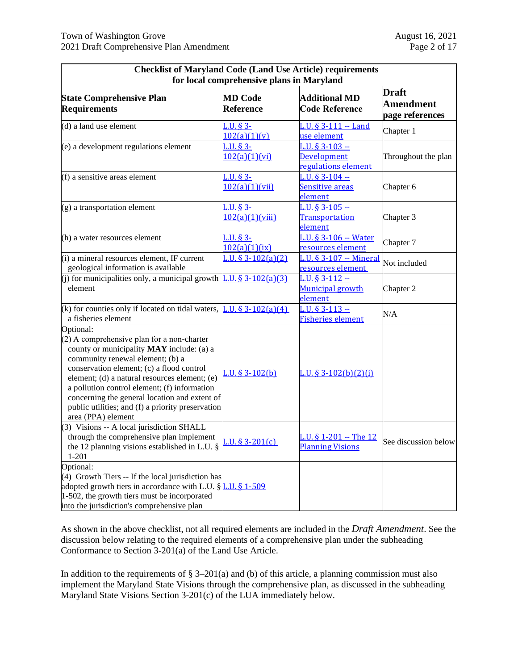| <b>Checklist of Maryland Code (Land Use Article) requirements</b><br>for local comprehensive plans in Maryland                                                                                                                                                                                                                                                                                                     |                                    |                                                              |                                                     |  |
|--------------------------------------------------------------------------------------------------------------------------------------------------------------------------------------------------------------------------------------------------------------------------------------------------------------------------------------------------------------------------------------------------------------------|------------------------------------|--------------------------------------------------------------|-----------------------------------------------------|--|
| <b>State Comprehensive Plan</b><br><b>Requirements</b>                                                                                                                                                                                                                                                                                                                                                             | <b>MD Code</b><br><b>Reference</b> | <b>Additional MD</b><br><b>Code Reference</b>                | <b>Draft</b><br><b>Amendment</b><br>page references |  |
| (d) a land use element                                                                                                                                                                                                                                                                                                                                                                                             | $L.U.$ § 3-<br>102(a)(1)(v)        | L.U. § 3-111 -- Land<br>use element                          | Chapter 1                                           |  |
| (e) a development regulations element                                                                                                                                                                                                                                                                                                                                                                              | L.U. § 3-<br>102(a)(1)(vi)         | L.U. § 3-103 --<br><b>Development</b><br>regulations element | Throughout the plan                                 |  |
| (f) a sensitive areas element                                                                                                                                                                                                                                                                                                                                                                                      | L.U. § 3-<br>102(a)(1)(vii)        | $L.U.$ § 3-104 $-$<br>Sensitive areas<br>element             | Chapter 6                                           |  |
| (g) a transportation element                                                                                                                                                                                                                                                                                                                                                                                       | L.U. § 3-<br>102(a)(1)(viii)       | L.U. § $3 - 105 -$<br><b>Transportation</b><br>element       | Chapter 3                                           |  |
| (h) a water resources element                                                                                                                                                                                                                                                                                                                                                                                      | L.U. § 3-<br>102(a)(1)(ix)         | L.U. § 3-106 -- Water<br>resources element                   | Chapter 7                                           |  |
| (i) a mineral resources element, IF current<br>geological information is available                                                                                                                                                                                                                                                                                                                                 | $L.U. § 3-102(a)(2)$               | L.U. § 3-107 -- Mineral<br>resources element                 | Not included                                        |  |
| (i) for municipalities only, a municipal growth $\boxed{L.U. \S 3-102(a)(3)}$<br>element                                                                                                                                                                                                                                                                                                                           |                                    | L.U. § $3 - 112 - 1$<br><b>Municipal growth</b><br>element   | Chapter 2                                           |  |
| (k) for counties only if located on tidal waters,<br>a fisheries element                                                                                                                                                                                                                                                                                                                                           | $L.U. § 3-102(a)(4)$               | L.U. § $3 - 113 -$<br>Fisheries element                      | N/A                                                 |  |
| Optional:<br>(2) A comprehensive plan for a non-charter<br>county or municipality MAY include: (a) a<br>community renewal element; (b) a<br>conservation element; (c) a flood control<br>element; (d) a natural resources element; (e)<br>a pollution control element; (f) information<br>concerning the general location and extent of<br>public utilities; and (f) a priority preservation<br>area (PPA) element | $L.U. § 3-102(b)$                  | $L.U. § 3-102(b)(2)(i)$                                      |                                                     |  |
| (3) Visions -- A local jurisdiction SHALL<br>through the comprehensive plan implement<br>the 12 planning visions established in L.U. §<br>$1 - 201$                                                                                                                                                                                                                                                                | $L.U. § 3-201(c)$                  | L.U. § 1-201 -- The 12<br><b>Planning Visions</b>            | See discussion below                                |  |
| Optional:<br>(4) Growth Tiers -- If the local jurisdiction has<br>adopted growth tiers in accordance with L.U. § L.U. § 1-509<br>1-502, the growth tiers must be incorporated<br>into the jurisdiction's comprehensive plan                                                                                                                                                                                        |                                    |                                                              |                                                     |  |

As shown in the above checklist, not all required elements are included in the *Draft Amendment*. See the discussion below relating to the required elements of a comprehensive plan under the subheading Conformance to Section 3-201(a) of the Land Use Article.

In addition to the requirements of  $\S 3-201(a)$  and (b) of this article, a planning commission must also implement the Maryland State Visions through the comprehensive plan, as discussed in the subheading Maryland State Visions Section 3-201(c) of the LUA immediately below.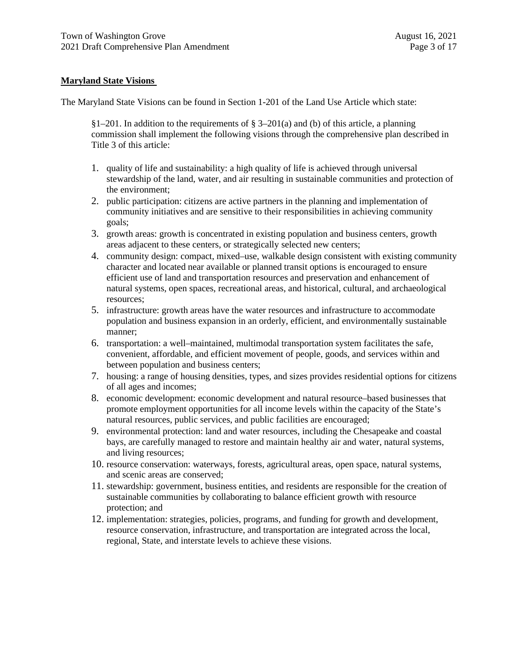#### **Maryland State Visions**

The Maryland State Visions can be found in Section 1-201 of the Land Use Article which state:

§1–201. In addition to the requirements of § 3–201(a) and (b) of this article, a planning commission shall implement the following visions through the comprehensive plan described in Title 3 of this article:

- 1. quality of life and sustainability: a high quality of life is achieved through universal stewardship of the land, water, and air resulting in sustainable communities and protection of the environment;
- 2. public participation: citizens are active partners in the planning and implementation of community initiatives and are sensitive to their responsibilities in achieving community goals;
- 3. growth areas: growth is concentrated in existing population and business centers, growth areas adjacent to these centers, or strategically selected new centers;
- 4. community design: compact, mixed–use, walkable design consistent with existing community character and located near available or planned transit options is encouraged to ensure efficient use of land and transportation resources and preservation and enhancement of natural systems, open spaces, recreational areas, and historical, cultural, and archaeological resources;
- 5. infrastructure: growth areas have the water resources and infrastructure to accommodate population and business expansion in an orderly, efficient, and environmentally sustainable manner;
- 6. transportation: a well–maintained, multimodal transportation system facilitates the safe, convenient, affordable, and efficient movement of people, goods, and services within and between population and business centers;
- 7. housing: a range of housing densities, types, and sizes provides residential options for citizens of all ages and incomes;
- 8. economic development: economic development and natural resource–based businesses that promote employment opportunities for all income levels within the capacity of the State's natural resources, public services, and public facilities are encouraged;
- 9. environmental protection: land and water resources, including the Chesapeake and coastal bays, are carefully managed to restore and maintain healthy air and water, natural systems, and living resources;
- 10. resource conservation: waterways, forests, agricultural areas, open space, natural systems, and scenic areas are conserved;
- 11. stewardship: government, business entities, and residents are responsible for the creation of sustainable communities by collaborating to balance efficient growth with resource protection; and
- 12. implementation: strategies, policies, programs, and funding for growth and development, resource conservation, infrastructure, and transportation are integrated across the local, regional, State, and interstate levels to achieve these visions.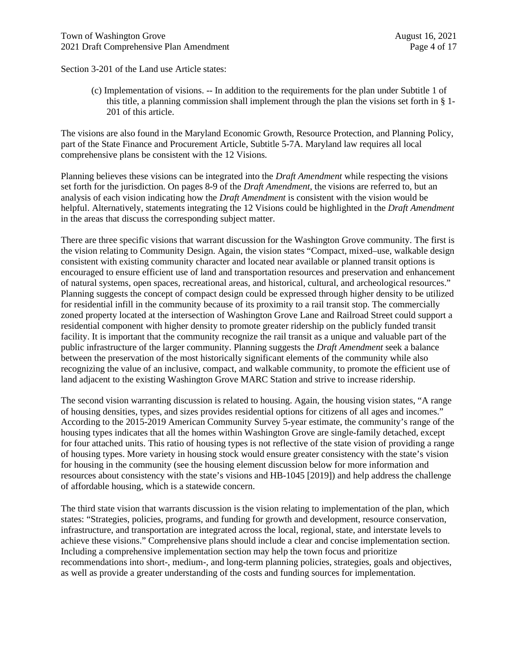Section 3-201 of the Land use Article states:

(c) Implementation of visions. -- In addition to the requirements for the plan under Subtitle 1 of this title, a planning commission shall implement through the plan the visions set forth in § 1- 201 of this article.

The visions are also found in the Maryland Economic Growth, Resource Protection, and Planning Policy, part of the State Finance and Procurement Article, Subtitle 5-7A. Maryland law requires all local comprehensive plans be consistent with the 12 Visions.

Planning believes these visions can be integrated into the *Draft Amendment* while respecting the visions set forth for the jurisdiction. On pages 8-9 of the *Draft Amendment*, the visions are referred to, but an analysis of each vision indicating how the *Draft Amendment* is consistent with the vision would be helpful. Alternatively, statements integrating the 12 Visions could be highlighted in the *Draft Amendment* in the areas that discuss the corresponding subject matter.

There are three specific visions that warrant discussion for the Washington Grove community. The first is the vision relating to Community Design. Again, the vision states "Compact, mixed–use, walkable design consistent with existing community character and located near available or planned transit options is encouraged to ensure efficient use of land and transportation resources and preservation and enhancement of natural systems, open spaces, recreational areas, and historical, cultural, and archeological resources." Planning suggests the concept of compact design could be expressed through higher density to be utilized for residential infill in the community because of its proximity to a rail transit stop. The commercially zoned property located at the intersection of Washington Grove Lane and Railroad Street could support a residential component with higher density to promote greater ridership on the publicly funded transit facility. It is important that the community recognize the rail transit as a unique and valuable part of the public infrastructure of the larger community. Planning suggests the *Draft Amendment* seek a balance between the preservation of the most historically significant elements of the community while also recognizing the value of an inclusive, compact, and walkable community, to promote the efficient use of land adjacent to the existing Washington Grove MARC Station and strive to increase ridership.

The second vision warranting discussion is related to housing. Again, the housing vision states, "A range of housing densities, types, and sizes provides residential options for citizens of all ages and incomes." According to the 2015-2019 American Community Survey 5-year estimate, the community's range of the housing types indicates that all the homes within Washington Grove are single-family detached, except for four attached units. This ratio of housing types is not reflective of the state vision of providing a range of housing types. More variety in housing stock would ensure greater consistency with the state's vision for housing in the community (see the housing element discussion below for more information and resources about consistency with the state's visions and HB-1045 [2019]) and help address the challenge of affordable housing, which is a statewide concern.

The third state vision that warrants discussion is the vision relating to implementation of the plan, which states: "Strategies, policies, programs, and funding for growth and development, resource conservation, infrastructure, and transportation are integrated across the local, regional, state, and interstate levels to achieve these visions." Comprehensive plans should include a clear and concise implementation section. Including a comprehensive implementation section may help the town focus and prioritize recommendations into short-, medium-, and long-term planning policies, strategies, goals and objectives, as well as provide a greater understanding of the costs and funding sources for implementation.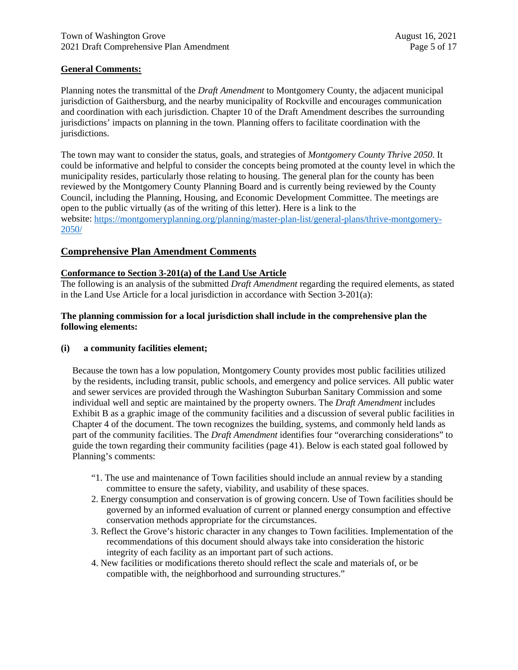#### **General Comments:**

Planning notes the transmittal of the *Draft Amendment* to Montgomery County, the adjacent municipal jurisdiction of Gaithersburg, and the nearby municipality of Rockville and encourages communication and coordination with each jurisdiction. Chapter 10 of the Draft Amendment describes the surrounding jurisdictions' impacts on planning in the town. Planning offers to facilitate coordination with the jurisdictions.

The town may want to consider the status, goals, and strategies of *Montgomery County Thrive 2050*. It could be informative and helpful to consider the concepts being promoted at the county level in which the municipality resides, particularly those relating to housing. The general plan for the county has been reviewed by the Montgomery County Planning Board and is currently being reviewed by the County Council, including the Planning, Housing, and Economic Development Committee. The meetings are open to the public virtually (as of the writing of this letter). Here is a link to the website: https://montgomeryplanning.org/planning/master-plan-list/general-plans/thrive-montgomery-2050/

#### **Comprehensive Plan Amendment Comments**

#### **Conformance to Section 3-201(a) of the Land Use Article**

The following is an analysis of the submitted *Draft Amendment* regarding the required elements, as stated in the Land Use Article for a local jurisdiction in accordance with Section 3-201(a):

#### **The planning commission for a local jurisdiction shall include in the comprehensive plan the following elements:**

#### **(i) a community facilities element;**

Because the town has a low population, Montgomery County provides most public facilities utilized by the residents, including transit, public schools, and emergency and police services. All public water and sewer services are provided through the Washington Suburban Sanitary Commission and some individual well and septic are maintained by the property owners. The *Draft Amendment* includes Exhibit B as a graphic image of the community facilities and a discussion of several public facilities in Chapter 4 of the document. The town recognizes the building, systems, and commonly held lands as part of the community facilities. The *Draft Amendment* identifies four "overarching considerations" to guide the town regarding their community facilities (page 41). Below is each stated goal followed by Planning's comments:

- "1. The use and maintenance of Town facilities should include an annual review by a standing committee to ensure the safety, viability, and usability of these spaces.
- 2. Energy consumption and conservation is of growing concern. Use of Town facilities should be governed by an informed evaluation of current or planned energy consumption and effective conservation methods appropriate for the circumstances.
- 3. Reflect the Grove's historic character in any changes to Town facilities. Implementation of the recommendations of this document should always take into consideration the historic integrity of each facility as an important part of such actions.
- 4. New facilities or modifications thereto should reflect the scale and materials of, or be compatible with, the neighborhood and surrounding structures."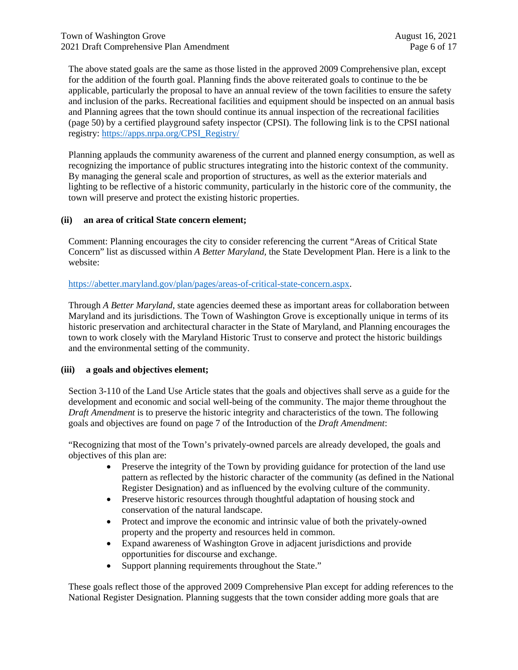The above stated goals are the same as those listed in the approved 2009 Comprehensive plan, except for the addition of the fourth goal. Planning finds the above reiterated goals to continue to the be applicable, particularly the proposal to have an annual review of the town facilities to ensure the safety and inclusion of the parks. Recreational facilities and equipment should be inspected on an annual basis and Planning agrees that the town should continue its annual inspection of the recreational facilities (page 50) by a certified playground safety inspector (CPSI). The following link is to the CPSI national registry: https://apps.nrpa.org/CPSI\_Registry/

Planning applauds the community awareness of the current and planned energy consumption, as well as recognizing the importance of public structures integrating into the historic context of the community. By managing the general scale and proportion of structures, as well as the exterior materials and lighting to be reflective of a historic community, particularly in the historic core of the community, the town will preserve and protect the existing historic properties.

#### **(ii) an area of critical State concern element;**

Comment: Planning encourages the city to consider referencing the current "Areas of Critical State Concern" list as discussed within *A Better Maryland,* the State Development Plan. Here is a link to the website:

#### https://abetter.maryland.gov/plan/pages/areas-of-critical-state-concern.aspx.

Through *A Better Maryland*, state agencies deemed these as important areas for collaboration between Maryland and its jurisdictions. The Town of Washington Grove is exceptionally unique in terms of its historic preservation and architectural character in the State of Maryland, and Planning encourages the town to work closely with the Maryland Historic Trust to conserve and protect the historic buildings and the environmental setting of the community.

#### **(iii) a goals and objectives element;**

Section 3-110 of the Land Use Article states that the goals and objectives shall serve as a guide for the development and economic and social well-being of the community. The major theme throughout the *Draft Amendment* is to preserve the historic integrity and characteristics of the town. The following goals and objectives are found on page 7 of the Introduction of the *Draft Amendment*:

"Recognizing that most of the Town's privately-owned parcels are already developed, the goals and objectives of this plan are:

- Preserve the integrity of the Town by providing guidance for protection of the land use pattern as reflected by the historic character of the community (as defined in the National Register Designation) and as influenced by the evolving culture of the community.
- Preserve historic resources through thoughtful adaptation of housing stock and conservation of the natural landscape.
- Protect and improve the economic and intrinsic value of both the privately-owned property and the property and resources held in common.
- Expand awareness of Washington Grove in adjacent jurisdictions and provide opportunities for discourse and exchange.
- Support planning requirements throughout the State."

These goals reflect those of the approved 2009 Comprehensive Plan except for adding references to the National Register Designation. Planning suggests that the town consider adding more goals that are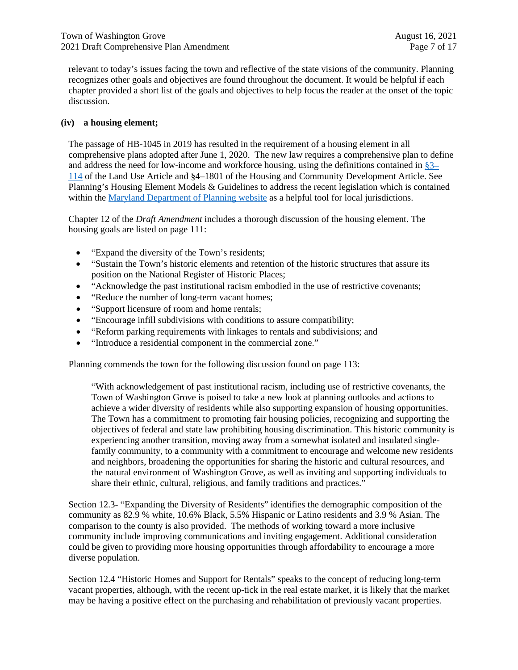relevant to today's issues facing the town and reflective of the state visions of the community. Planning recognizes other goals and objectives are found throughout the document. It would be helpful if each chapter provided a short list of the goals and objectives to help focus the reader at the onset of the topic discussion.

#### **(iv) a housing element;**

The passage of HB-1045 in 2019 has resulted in the requirement of a housing element in all comprehensive plans adopted after June 1, 2020. The new law requires a comprehensive plan to define and address the need for low-income and workforce housing, using the definitions contained in §3– 114 of the Land Use Article and §4–1801 of the Housing and Community Development Article. See Planning's Housing Element Models & Guidelines to address the recent legislation which is contained within the Maryland Department of Planning website as a helpful tool for local jurisdictions.

Chapter 12 of the *Draft Amendment* includes a thorough discussion of the housing element. The housing goals are listed on page 111:

- "Expand the diversity of the Town's residents;
- "Sustain the Town's historic elements and retention of the historic structures that assure its position on the National Register of Historic Places;
- "Acknowledge the past institutional racism embodied in the use of restrictive covenants;
- "Reduce the number of long-term vacant homes;
- "Support licensure of room and home rentals;
- "Encourage infill subdivisions with conditions to assure compatibility;
- "Reform parking requirements with linkages to rentals and subdivisions; and
- "Introduce a residential component in the commercial zone."

Planning commends the town for the following discussion found on page 113:

"With acknowledgement of past institutional racism, including use of restrictive covenants, the Town of Washington Grove is poised to take a new look at planning outlooks and actions to achieve a wider diversity of residents while also supporting expansion of housing opportunities. The Town has a commitment to promoting fair housing policies, recognizing and supporting the objectives of federal and state law prohibiting housing discrimination. This historic community is experiencing another transition, moving away from a somewhat isolated and insulated singlefamily community, to a community with a commitment to encourage and welcome new residents and neighbors, broadening the opportunities for sharing the historic and cultural resources, and the natural environment of Washington Grove, as well as inviting and supporting individuals to share their ethnic, cultural, religious, and family traditions and practices."

Section 12.3- "Expanding the Diversity of Residents" identifies the demographic composition of the community as 82.9 % white, 10.6% Black, 5.5% Hispanic or Latino residents and 3.9 % Asian. The comparison to the county is also provided. The methods of working toward a more inclusive community include improving communications and inviting engagement. Additional consideration could be given to providing more housing opportunities through affordability to encourage a more diverse population.

Section 12.4 "Historic Homes and Support for Rentals" speaks to the concept of reducing long-term vacant properties, although, with the recent up-tick in the real estate market, it is likely that the market may be having a positive effect on the purchasing and rehabilitation of previously vacant properties.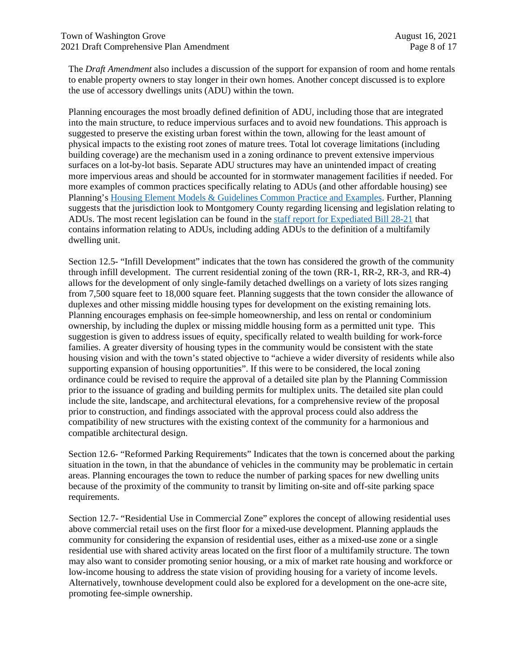The *Draft Amendment* also includes a discussion of the support for expansion of room and home rentals to enable property owners to stay longer in their own homes. Another concept discussed is to explore the use of accessory dwellings units (ADU) within the town.

Planning encourages the most broadly defined definition of ADU, including those that are integrated into the main structure, to reduce impervious surfaces and to avoid new foundations. This approach is suggested to preserve the existing urban forest within the town, allowing for the least amount of physical impacts to the existing root zones of mature trees. Total lot coverage limitations (including building coverage) are the mechanism used in a zoning ordinance to prevent extensive impervious surfaces on a lot-by-lot basis. Separate ADU structures may have an unintended impact of creating more impervious areas and should be accounted for in stormwater management facilities if needed. For more examples of common practices specifically relating to ADUs (and other affordable housing) see Planning's Housing Element Models & Guidelines Common Practice and Examples. Further, Planning suggests that the jurisdiction look to Montgomery County regarding licensing and legislation relating to ADUs. The most recent legislation can be found in the staff report for Expediated Bill 28-21 that contains information relating to ADUs, including adding ADUs to the definition of a multifamily dwelling unit.

Section 12.5- "Infill Development" indicates that the town has considered the growth of the community through infill development. The current residential zoning of the town (RR-1, RR-2, RR-3, and RR-4) allows for the development of only single-family detached dwellings on a variety of lots sizes ranging from 7,500 square feet to 18,000 square feet. Planning suggests that the town consider the allowance of duplexes and other missing middle housing types for development on the existing remaining lots. Planning encourages emphasis on fee-simple homeownership, and less on rental or condominium ownership, by including the duplex or missing middle housing form as a permitted unit type. This suggestion is given to address issues of equity, specifically related to wealth building for work-force families. A greater diversity of housing types in the community would be consistent with the state housing vision and with the town's stated objective to "achieve a wider diversity of residents while also supporting expansion of housing opportunities". If this were to be considered, the local zoning ordinance could be revised to require the approval of a detailed site plan by the Planning Commission prior to the issuance of grading and building permits for multiplex units. The detailed site plan could include the site, landscape, and architectural elevations, for a comprehensive review of the proposal prior to construction, and findings associated with the approval process could also address the compatibility of new structures with the existing context of the community for a harmonious and compatible architectural design.

Section 12.6- "Reformed Parking Requirements" Indicates that the town is concerned about the parking situation in the town, in that the abundance of vehicles in the community may be problematic in certain areas. Planning encourages the town to reduce the number of parking spaces for new dwelling units because of the proximity of the community to transit by limiting on-site and off-site parking space requirements.

Section 12.7- "Residential Use in Commercial Zone" explores the concept of allowing residential uses above commercial retail uses on the first floor for a mixed-use development. Planning applauds the community for considering the expansion of residential uses, either as a mixed-use zone or a single residential use with shared activity areas located on the first floor of a multifamily structure. The town may also want to consider promoting senior housing, or a mix of market rate housing and workforce or low-income housing to address the state vision of providing housing for a variety of income levels. Alternatively, townhouse development could also be explored for a development on the one-acre site, promoting fee-simple ownership.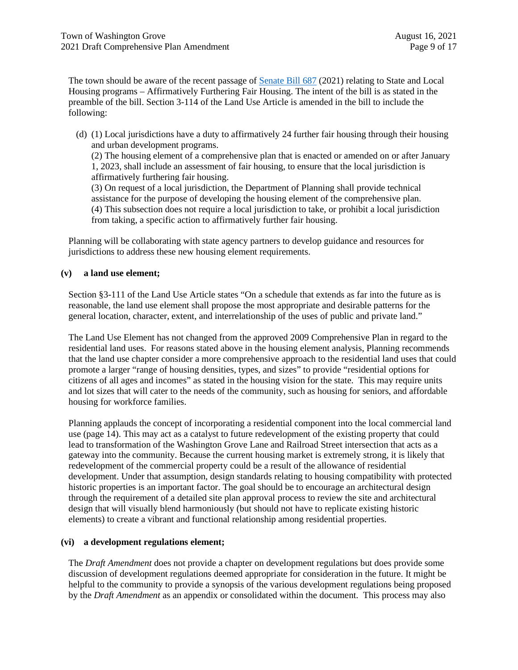The town should be aware of the recent passage of Senate Bill 687 (2021) relating to State and Local Housing programs – Affirmatively Furthering Fair Housing. The intent of the bill is as stated in the preamble of the bill. Section 3-114 of the Land Use Article is amended in the bill to include the following:

(d) (1) Local jurisdictions have a duty to affirmatively 24 further fair housing through their housing and urban development programs.

(2) The housing element of a comprehensive plan that is enacted or amended on or after January 1, 2023, shall include an assessment of fair housing, to ensure that the local jurisdiction is affirmatively furthering fair housing.

(3) On request of a local jurisdiction, the Department of Planning shall provide technical assistance for the purpose of developing the housing element of the comprehensive plan. (4) This subsection does not require a local jurisdiction to take, or prohibit a local jurisdiction from taking, a specific action to affirmatively further fair housing.

Planning will be collaborating with state agency partners to develop guidance and resources for jurisdictions to address these new housing element requirements.

#### **(v) a land use element;**

Section §3-111 of the Land Use Article states "On a schedule that extends as far into the future as is reasonable, the land use element shall propose the most appropriate and desirable patterns for the general location, character, extent, and interrelationship of the uses of public and private land."

The Land Use Element has not changed from the approved 2009 Comprehensive Plan in regard to the residential land uses. For reasons stated above in the housing element analysis, Planning recommends that the land use chapter consider a more comprehensive approach to the residential land uses that could promote a larger "range of housing densities, types, and sizes" to provide "residential options for citizens of all ages and incomes" as stated in the housing vision for the state. This may require units and lot sizes that will cater to the needs of the community, such as housing for seniors, and affordable housing for workforce families.

Planning applauds the concept of incorporating a residential component into the local commercial land use (page 14). This may act as a catalyst to future redevelopment of the existing property that could lead to transformation of the Washington Grove Lane and Railroad Street intersection that acts as a gateway into the community. Because the current housing market is extremely strong, it is likely that redevelopment of the commercial property could be a result of the allowance of residential development. Under that assumption, design standards relating to housing compatibility with protected historic properties is an important factor. The goal should be to encourage an architectural design through the requirement of a detailed site plan approval process to review the site and architectural design that will visually blend harmoniously (but should not have to replicate existing historic elements) to create a vibrant and functional relationship among residential properties.

#### **(vi) a development regulations element;**

The *Draft Amendment* does not provide a chapter on development regulations but does provide some discussion of development regulations deemed appropriate for consideration in the future. It might be helpful to the community to provide a synopsis of the various development regulations being proposed by the *Draft Amendment* as an appendix or consolidated within the document. This process may also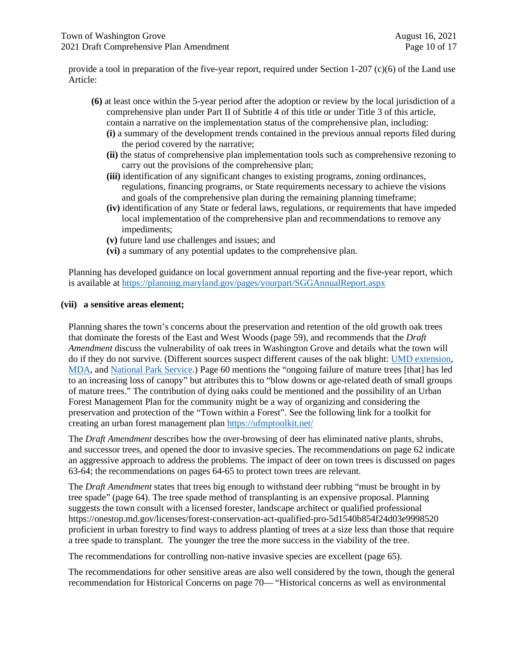provide a tool in preparation of the five-year report, required under Section 1-207 (c)(6) of the Land use Article:

- **(6)** at least once within the 5-year period after the adoption or review by the local jurisdiction of a comprehensive plan under Part II of Subtitle 4 of this title or under Title 3 of this article, contain a narrative on the implementation status of the comprehensive plan, including:
	- **(i)** a summary of the development trends contained in the previous annual reports filed during the period covered by the narrative;
	- **(ii)** the status of comprehensive plan implementation tools such as comprehensive rezoning to carry out the provisions of the comprehensive plan;
	- **(iii)** identification of any significant changes to existing programs, zoning ordinances, regulations, financing programs, or State requirements necessary to achieve the visions and goals of the comprehensive plan during the remaining planning timeframe;
	- **(iv)** identification of any State or federal laws, regulations, or requirements that have impeded local implementation of the comprehensive plan and recommendations to remove any impediments;
	- **(v)** future land use challenges and issues; and
	- **(vi)** a summary of any potential updates to the comprehensive plan.

Planning has developed guidance on local government annual reporting and the five-year report, which is available at https://planning.maryland.gov/pages/yourpart/SGGAnnualReport.aspx

#### **(vii) a sensitive areas element;**

Planning shares the town's concerns about the preservation and retention of the old growth oak trees that dominate the forests of the East and West Woods (page 59), and recommends that the *Draft Amendment* discuss the vulnerability of oak trees in Washington Grove and details what the town will do if they do not survive. (Different sources suspect different causes of the oak blight: UMD extension, MDA, and National Park Service.) Page 60 mentions the "ongoing failure of mature trees [that] has led to an increasing loss of canopy" but attributes this to "blow downs or age-related death of small groups of mature trees." The contribution of dying oaks could be mentioned and the possibility of an Urban Forest Management Plan for the community might be a way of organizing and considering the preservation and protection of the "Town within a Forest". See the following link for a toolkit for creating an urban forest management plan https://ufmptoolkit.net/

The *Draft Amendment* describes how the over-browsing of deer has eliminated native plants, shrubs, and successor trees, and opened the door to invasive species. The recommendations on page 62 indicate an aggressive approach to address the problems. The impact of deer on town trees is discussed on pages 63-64; the recommendations on pages 64-65 to protect town trees are relevant.

The *Draft Amendment* states that trees big enough to withstand deer rubbing "must be brought in by tree spade" (page 64). The tree spade method of transplanting is an expensive proposal. Planning suggests the town consult with a licensed forester, landscape architect or qualified professional https://onestop.md.gov/licenses/forest-conservation-act-qualified-pro-5d1540b854f24d03e9998520 proficient in urban forestry to find ways to address planting of trees at a size less than those that require a tree spade to transplant. The younger the tree the more success in the viability of the tree.

The recommendations for controlling non-native invasive species are excellent (page 65).

The recommendations for other sensitive areas are also well considered by the town, though the general recommendation for Historical Concerns on page 70— "Historical concerns as well as environmental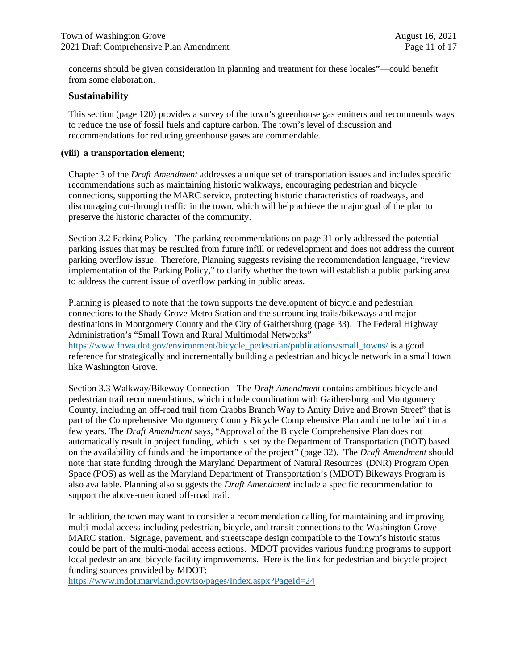concerns should be given consideration in planning and treatment for these locales"—could benefit from some elaboration.

#### **Sustainability**

This section (page 120) provides a survey of the town's greenhouse gas emitters and recommends ways to reduce the use of fossil fuels and capture carbon. The town's level of discussion and recommendations for reducing greenhouse gases are commendable.

#### **(viii) a transportation element;**

Chapter 3 of the *Draft Amendment* addresses a unique set of transportation issues and includes specific recommendations such as maintaining historic walkways, encouraging pedestrian and bicycle connections, supporting the MARC service, protecting historic characteristics of roadways, and discouraging cut-through traffic in the town, which will help achieve the major goal of the plan to preserve the historic character of the community.

Section 3.2 Parking Policy - The parking recommendations on page 31 only addressed the potential parking issues that may be resulted from future infill or redevelopment and does not address the current parking overflow issue. Therefore, Planning suggests revising the recommendation language, "review implementation of the Parking Policy," to clarify whether the town will establish a public parking area to address the current issue of overflow parking in public areas.

Planning is pleased to note that the town supports the development of bicycle and pedestrian connections to the Shady Grove Metro Station and the surrounding trails/bikeways and major destinations in Montgomery County and the City of Gaithersburg (page 33). The Federal Highway Administration's "Small Town and Rural Multimodal Networks" https://www.fhwa.dot.gov/environment/bicycle\_pedestrian/publications/small\_towns/ is a good reference for strategically and incrementally building a pedestrian and bicycle network in a small town like Washington Grove.

Section 3.3 Walkway/Bikeway Connection - The *Draft Amendment* contains ambitious bicycle and pedestrian trail recommendations, which include coordination with Gaithersburg and Montgomery County, including an off-road trail from Crabbs Branch Way to Amity Drive and Brown Street" that is part of the Comprehensive Montgomery County Bicycle Comprehensive Plan and due to be built in a few years. The *Draft Amendment* says, "Approval of the Bicycle Comprehensive Plan does not automatically result in project funding, which is set by the Department of Transportation (DOT) based on the availability of funds and the importance of the project" (page 32). The *Draft Amendment* should note that state funding through the Maryland Department of Natural Resources' (DNR) Program Open Space (POS) as well as the Maryland Department of Transportation's (MDOT) Bikeways Program is also available. Planning also suggests the *Draft Amendment* include a specific recommendation to support the above-mentioned off-road trail.

In addition, the town may want to consider a recommendation calling for maintaining and improving multi-modal access including pedestrian, bicycle, and transit connections to the Washington Grove MARC station. Signage, pavement, and streetscape design compatible to the Town's historic status could be part of the multi-modal access actions. MDOT provides various funding programs to support local pedestrian and bicycle facility improvements. Here is the link for pedestrian and bicycle project funding sources provided by MDOT:

https://www.mdot.maryland.gov/tso/pages/Index.aspx?PageId=24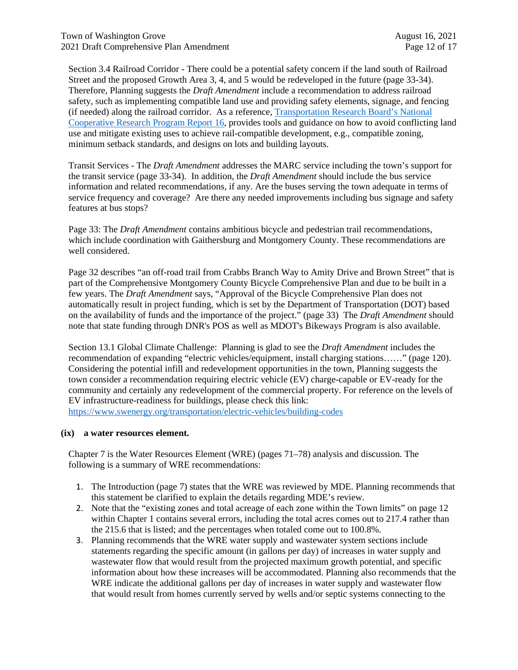Section 3.4 Railroad Corridor - There could be a potential safety concern if the land south of Railroad Street and the proposed Growth Area 3, 4, and 5 would be redeveloped in the future (page 33-34). Therefore, Planning suggests the *Draft Amendment* include a recommendation to address railroad safety, such as implementing compatible land use and providing safety elements, signage, and fencing (if needed) along the railroad corridor. As a reference, Transportation Research Board's National Cooperative Research Program Report 16, provides tools and guidance on how to avoid conflicting land use and mitigate existing uses to achieve rail-compatible development, e.g., compatible zoning, minimum setback standards, and designs on lots and building layouts.

Transit Services - The *Draft Amendment* addresses the MARC service including the town's support for the transit service (page 33-34). In addition, the *Draft Amendment* should include the bus service information and related recommendations, if any. Are the buses serving the town adequate in terms of service frequency and coverage? Are there any needed improvements including bus signage and safety features at bus stops?

Page 33: The *Draft Amendment* contains ambitious bicycle and pedestrian trail recommendations, which include coordination with Gaithersburg and Montgomery County. These recommendations are well considered.

Page 32 describes "an off-road trail from Crabbs Branch Way to Amity Drive and Brown Street" that is part of the Comprehensive Montgomery County Bicycle Comprehensive Plan and due to be built in a few years. The *Draft Amendment* says, "Approval of the Bicycle Comprehensive Plan does not automatically result in project funding, which is set by the Department of Transportation (DOT) based on the availability of funds and the importance of the project." (page 33) The *Draft Amendment* should note that state funding through DNR's POS as well as MDOT's Bikeways Program is also available.

Section 13.1 Global Climate Challenge: Planning is glad to see the *Draft Amendment* includes the recommendation of expanding "electric vehicles/equipment, install charging stations……" (page 120). Considering the potential infill and redevelopment opportunities in the town, Planning suggests the town consider a recommendation requiring electric vehicle (EV) charge-capable or EV-ready for the community and certainly any redevelopment of the commercial property. For reference on the levels of EV infrastructure-readiness for buildings, please check this link:

https://www.swenergy.org/transportation/electric-vehicles/building-codes

#### **(ix) a water resources element.**

Chapter 7 is the Water Resources Element (WRE) (pages 71–78) analysis and discussion. The following is a summary of WRE recommendations:

- 1. The Introduction (page 7) states that the WRE was reviewed by MDE. Planning recommends that this statement be clarified to explain the details regarding MDE's review.
- 2. Note that the "existing zones and total acreage of each zone within the Town limits" on page 12 within Chapter 1 contains several errors, including the total acres comes out to 217.4 rather than the 215.6 that is listed; and the percentages when totaled come out to 100.8%.
- 3. Planning recommends that the WRE water supply and wastewater system sections include statements regarding the specific amount (in gallons per day) of increases in water supply and wastewater flow that would result from the projected maximum growth potential, and specific information about how these increases will be accommodated. Planning also recommends that the WRE indicate the additional gallons per day of increases in water supply and wastewater flow that would result from homes currently served by wells and/or septic systems connecting to the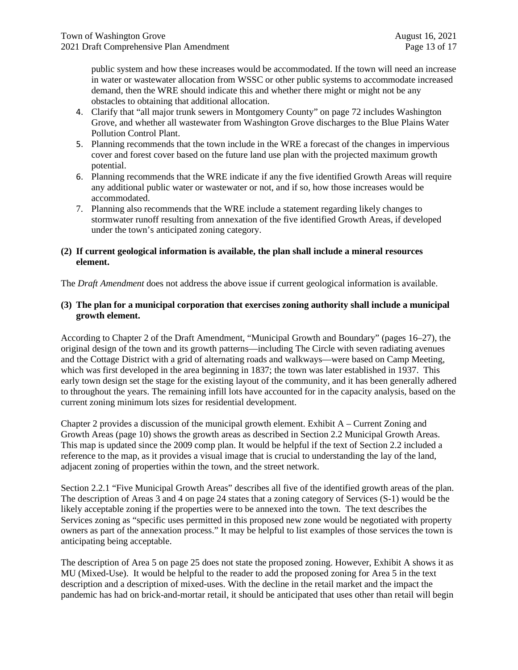public system and how these increases would be accommodated. If the town will need an increase in water or wastewater allocation from WSSC or other public systems to accommodate increased demand, then the WRE should indicate this and whether there might or might not be any obstacles to obtaining that additional allocation.

- 4. Clarify that "all major trunk sewers in Montgomery County" on page 72 includes Washington Grove, and whether all wastewater from Washington Grove discharges to the Blue Plains Water Pollution Control Plant.
- 5. Planning recommends that the town include in the WRE a forecast of the changes in impervious cover and forest cover based on the future land use plan with the projected maximum growth potential.
- 6. Planning recommends that the WRE indicate if any the five identified Growth Areas will require any additional public water or wastewater or not, and if so, how those increases would be accommodated.
- 7. Planning also recommends that the WRE include a statement regarding likely changes to stormwater runoff resulting from annexation of the five identified Growth Areas, if developed under the town's anticipated zoning category.

#### **(2) If current geological information is available, the plan shall include a mineral resources element.**

The *Draft Amendment* does not address the above issue if current geological information is available.

#### **(3) The plan for a municipal corporation that exercises zoning authority shall include a municipal growth element.**

According to Chapter 2 of the Draft Amendment, "Municipal Growth and Boundary" (pages 16–27), the original design of the town and its growth patterns—including The Circle with seven radiating avenues and the Cottage District with a grid of alternating roads and walkways—were based on Camp Meeting, which was first developed in the area beginning in 1837; the town was later established in 1937. This early town design set the stage for the existing layout of the community, and it has been generally adhered to throughout the years. The remaining infill lots have accounted for in the capacity analysis, based on the current zoning minimum lots sizes for residential development.

Chapter 2 provides a discussion of the municipal growth element. Exhibit A – Current Zoning and Growth Areas (page 10) shows the growth areas as described in Section 2.2 Municipal Growth Areas. This map is updated since the 2009 comp plan. It would be helpful if the text of Section 2.2 included a reference to the map, as it provides a visual image that is crucial to understanding the lay of the land, adjacent zoning of properties within the town, and the street network.

Section 2.2.1 "Five Municipal Growth Areas" describes all five of the identified growth areas of the plan. The description of Areas 3 and 4 on page 24 states that a zoning category of Services (S-1) would be the likely acceptable zoning if the properties were to be annexed into the town. The text describes the Services zoning as "specific uses permitted in this proposed new zone would be negotiated with property owners as part of the annexation process." It may be helpful to list examples of those services the town is anticipating being acceptable.

The description of Area 5 on page 25 does not state the proposed zoning. However, Exhibit A shows it as MU (Mixed-Use). It would be helpful to the reader to add the proposed zoning for Area 5 in the text description and a description of mixed-uses. With the decline in the retail market and the impact the pandemic has had on brick-and-mortar retail, it should be anticipated that uses other than retail will begin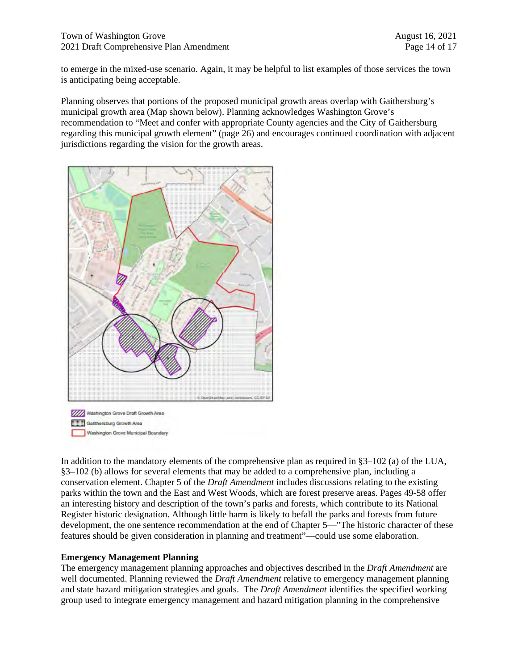to emerge in the mixed-use scenario. Again, it may be helpful to list examples of those services the town is anticipating being acceptable.

Planning observes that portions of the proposed municipal growth areas overlap with Gaithersburg's municipal growth area (Map shown below). Planning acknowledges Washington Grove's recommendation to "Meet and confer with appropriate County agencies and the City of Gaithersburg regarding this municipal growth element" (page 26) and encourages continued coordination with adjacent jurisdictions regarding the vision for the growth areas.



In addition to the mandatory elements of the comprehensive plan as required in §3–102 (a) of the LUA, §3–102 (b) allows for several elements that may be added to a comprehensive plan, including a conservation element. Chapter 5 of the *Draft Amendment* includes discussions relating to the existing parks within the town and the East and West Woods, which are forest preserve areas. Pages 49-58 offer an interesting history and description of the town's parks and forests, which contribute to its National Register historic designation. Although little harm is likely to befall the parks and forests from future development, the one sentence recommendation at the end of Chapter 5—"The historic character of these features should be given consideration in planning and treatment"—could use some elaboration.

#### **Emergency Management Planning**

The emergency management planning approaches and objectives described in the *Draft Amendment* are well documented. Planning reviewed the *Draft Amendment* relative to emergency management planning and state hazard mitigation strategies and goals. The *Draft Amendment* identifies the specified working group used to integrate emergency management and hazard mitigation planning in the comprehensive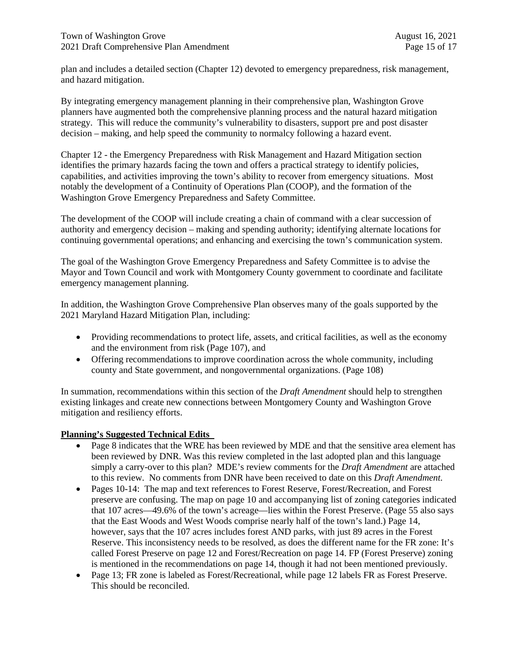plan and includes a detailed section (Chapter 12) devoted to emergency preparedness, risk management, and hazard mitigation.

By integrating emergency management planning in their comprehensive plan, Washington Grove planners have augmented both the comprehensive planning process and the natural hazard mitigation strategy. This will reduce the community's vulnerability to disasters, support pre and post disaster decision – making, and help speed the community to normalcy following a hazard event.

Chapter 12 - the Emergency Preparedness with Risk Management and Hazard Mitigation section identifies the primary hazards facing the town and offers a practical strategy to identify policies, capabilities, and activities improving the town's ability to recover from emergency situations. Most notably the development of a Continuity of Operations Plan (COOP), and the formation of the Washington Grove Emergency Preparedness and Safety Committee.

The development of the COOP will include creating a chain of command with a clear succession of authority and emergency decision – making and spending authority; identifying alternate locations for continuing governmental operations; and enhancing and exercising the town's communication system.

The goal of the Washington Grove Emergency Preparedness and Safety Committee is to advise the Mayor and Town Council and work with Montgomery County government to coordinate and facilitate emergency management planning.

In addition, the Washington Grove Comprehensive Plan observes many of the goals supported by the 2021 Maryland Hazard Mitigation Plan, including:

- Providing recommendations to protect life, assets, and critical facilities, as well as the economy and the environment from risk (Page 107), and
- Offering recommendations to improve coordination across the whole community, including county and State government, and nongovernmental organizations. (Page 108)

In summation, recommendations within this section of the *Draft Amendment* should help to strengthen existing linkages and create new connections between Montgomery County and Washington Grove mitigation and resiliency efforts.

#### **Planning's Suggested Technical Edits**

- Page 8 indicates that the WRE has been reviewed by MDE and that the sensitive area element has been reviewed by DNR. Was this review completed in the last adopted plan and this language simply a carry-over to this plan? MDE's review comments for the *Draft Amendment* are attached to this review. No comments from DNR have been received to date on this *Draft Amendment.*
- Pages 10-14: The map and text references to Forest Reserve, Forest/Recreation, and Forest preserve are confusing. The map on page 10 and accompanying list of zoning categories indicated that 107 acres—49.6% of the town's acreage—lies within the Forest Preserve. (Page 55 also says that the East Woods and West Woods comprise nearly half of the town's land.) Page 14, however, says that the 107 acres includes forest AND parks, with just 89 acres in the Forest Reserve. This inconsistency needs to be resolved, as does the different name for the FR zone: It's called Forest Preserve on page 12 and Forest/Recreation on page 14. FP (Forest Preserve) zoning is mentioned in the recommendations on page 14, though it had not been mentioned previously.
- Page 13; FR zone is labeled as Forest/Recreational, while page 12 labels FR as Forest Preserve. This should be reconciled.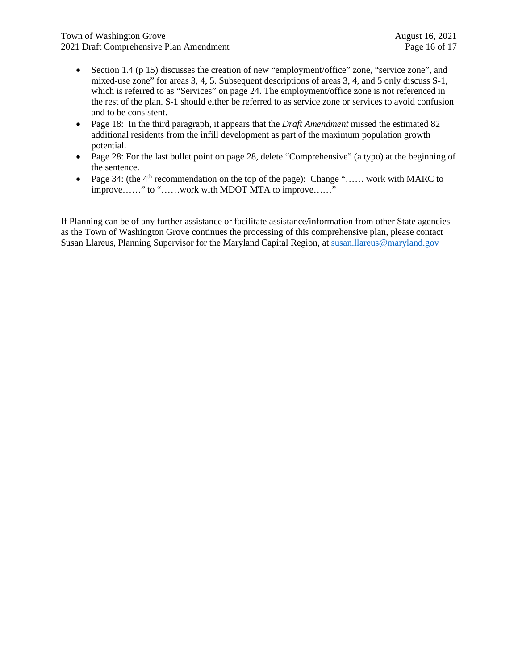- Section 1.4 (p 15) discusses the creation of new "employment/office" zone, "service zone", and mixed-use zone" for areas 3, 4, 5. Subsequent descriptions of areas 3, 4, and 5 only discuss S-1, which is referred to as "Services" on page 24. The employment/office zone is not referenced in the rest of the plan. S-1 should either be referred to as service zone or services to avoid confusion and to be consistent.
- Page 18: In the third paragraph, it appears that the *Draft Amendment* missed the estimated 82 additional residents from the infill development as part of the maximum population growth potential.
- Page 28: For the last bullet point on page 28, delete "Comprehensive" (a typo) at the beginning of the sentence.
- Page 34: (the  $4<sup>th</sup>$  recommendation on the top of the page): Change "...... work with MARC to improve……" to "……work with MDOT MTA to improve……"

If Planning can be of any further assistance or facilitate assistance/information from other State agencies as the Town of Washington Grove continues the processing of this comprehensive plan, please contact Susan Llareus, Planning Supervisor for the Maryland Capital Region, at susan.llareus@maryland.gov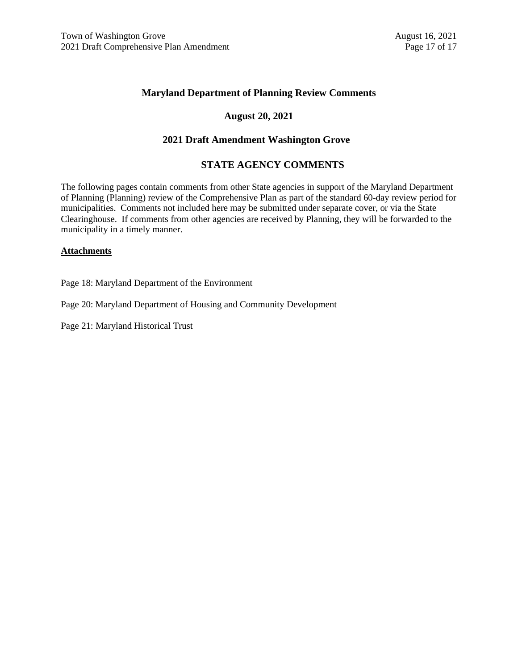#### **Maryland Department of Planning Review Comments**

#### **August 20, 2021**

#### **2021 Draft Amendment Washington Grove**

#### **STATE AGENCY COMMENTS**

The following pages contain comments from other State agencies in support of the Maryland Department of Planning (Planning) review of the Comprehensive Plan as part of the standard 60-day review period for municipalities. Comments not included here may be submitted under separate cover, or via the State Clearinghouse. If comments from other agencies are received by Planning, they will be forwarded to the municipality in a timely manner.

#### **Attachments**

Page 18: Maryland Department of the Environment

Page 20: Maryland Department of Housing and Community Development

Page 21: Maryland Historical Trust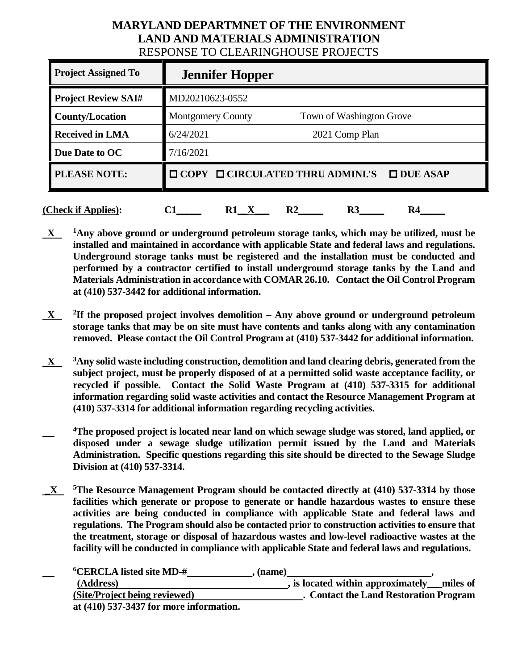# **MARYLAND DEPARTMNET OF THE ENVIRONMENT LAND AND MATERIALS ADMINISTRATION** RESPONSE TO CLEARINGHOUSE PROJECTS

| <b>Project Assigned To</b> | <b>Jennifer Hopper</b>                                          |  |
|----------------------------|-----------------------------------------------------------------|--|
| <b>Project Review SAI#</b> | MD20210623-0552                                                 |  |
| <b>County/Location</b>     | <b>Montgomery County</b><br>Town of Washington Grove            |  |
| <b>Received in LMA</b>     | 6/24/2021<br>2021 Comp Plan                                     |  |
| Due Date to OC             | 7/16/2021                                                       |  |
| <b>PLEASE NOTE:</b>        | $\Box$ COPY $\Box$ CIRCULATED THRU ADMINI.'S<br>$\Box$ DUE ASAP |  |
| (Check if Applies):        | $\mathbf{R2}$<br>R3<br>R4<br>R1                                 |  |

- **X 1Any above ground or underground petroleum storage tanks, which may be utilized, must be installed and maintained in accordance with applicable State and federal laws and regulations. Underground storage tanks must be registered and the installation must be conducted and performed by a contractor certified to install underground storage tanks by the Land and Materials Administration in accordance with COMAR 26.10. Contact the Oil Control Program at (410) 537-3442 for additional information.**
- $X$ <sup>2</sup>If the proposed project involves demolition Any above ground or underground petroleum **storage tanks that may be on site must have contents and tanks along with any contamination removed. Please contact the Oil Control Program at (410) 537-3442 for additional information.**
- **X 3Any solid waste including construction, demolition and land clearing debris, generated from the subject project, must be properly disposed of at a permitted solid waste acceptance facility, or recycled if possible. Contact the Solid Waste Program at (410) 537-3315 for additional information regarding solid waste activities and contact the Resource Management Program at (410) 537-3314 for additional information regarding recycling activities.**
- **4The proposed project is located near land on which sewage sludge was stored, land applied, or disposed under a sewage sludge utilization permit issued by the Land and Materials Administration. Specific questions regarding this site should be directed to the Sewage Sludge Division at (410) 537-3314.**
- **\_X 5The Resource Management Program should be contacted directly at (410) 537-3314 by those facilities which generate or propose to generate or handle hazardous wastes to ensure these activities are being conducted in compliance with applicable State and federal laws and regulations. The Program should also be contacted prior to construction activities to ensure that the treatment, storage or disposal of hazardous wastes and low-level radioactive wastes at the facility will be conducted in compliance with applicable State and federal laws and regulations.**

| <sup>6</sup> CERCLA listed site MD-#    | (name)                                        |
|-----------------------------------------|-----------------------------------------------|
| (Address)                               | , is located within approximately<br>miles of |
| (Site/Project being reviewed)           | . Contact the Land Restoration Program        |
| at (410) 537-3437 for more information. |                                               |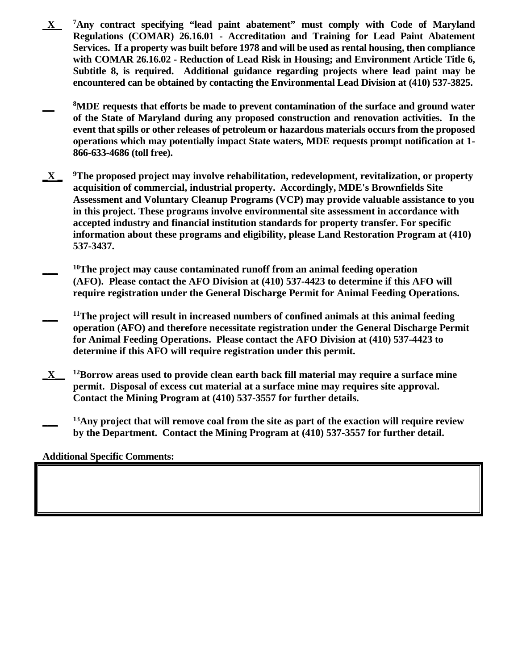- **X 7Any contract specifying "lead paint abatement" must comply with Code of Maryland Regulations (COMAR) 26.16.01 - Accreditation and Training for Lead Paint Abatement Services. If a property was built before 1978 and will be used as rental housing, then compliance with COMAR 26.16.02 - Reduction of Lead Risk in Housing; and Environment Article Title 6, Subtitle 8, is required. Additional guidance regarding projects where lead paint may be encountered can be obtained by contacting the Environmental Lead Division at (410) 537-3825.**
- **8MDE requests that efforts be made to prevent contamination of the surface and ground water of the State of Maryland during any proposed construction and renovation activities. In the event that spills or other releases of petroleum or hazardous materials occurs from the proposed operations which may potentially impact State waters, MDE requests prompt notification at 1- 866-633-4686 (toll free).**
- **\_X \_ 9The proposed project may involve rehabilitation, redevelopment, revitalization, or property acquisition of commercial, industrial property. Accordingly, MDE's Brownfields Site Assessment and Voluntary Cleanup Programs (VCP) may provide valuable assistance to you in this project. These programs involve environmental site assessment in accordance with accepted industry and financial institution standards for property transfer. For specific information about these programs and eligibility, please Land Restoration Program at (410) 537-3437.**
- <sup>10</sup>The project may cause contaminated runoff from an animal feeding operation **(AFO). Please contact the AFO Division at (410) 537-4423 to determine if this AFO will require registration under the General Discharge Permit for Animal Feeding Operations.**
- <sup>11</sup>The project will result in increased numbers of confined animals at this animal feeding **operation (AFO) and therefore necessitate registration under the General Discharge Permit for Animal Feeding Operations. Please contact the AFO Division at (410) 537-4423 to determine if this AFO will require registration under this permit.**
- **\_X\_\_ 12Borrow areas used to provide clean earth back fill material may require a surface mine permit. Disposal of excess cut material at a surface mine may requires site approval. Contact the Mining Program at (410) 537-3557 for further details.**
- <sup>13</sup>Any project that will remove coal from the site as part of the exaction will require review **by the Department. Contact the Mining Program at (410) 537-3557 for further detail.**

# **Additional Specific Comments:**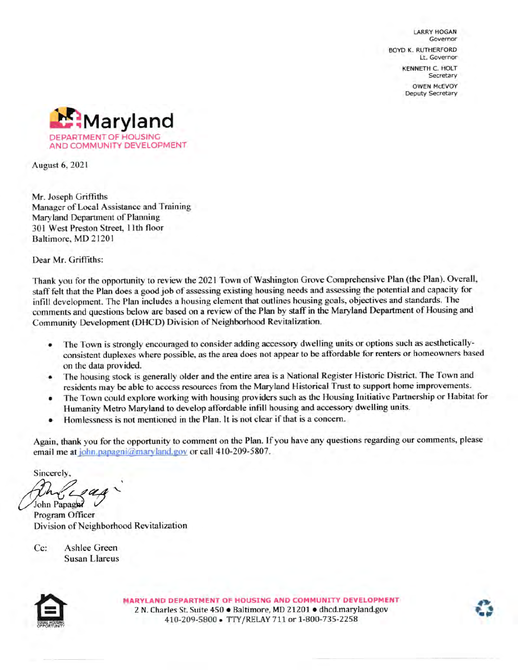**LARRY HOGAN** Governor **BOYD K. RUTHERFORD** Lt. Governor **KENNETH C. HOLT** Secretary **OWEN MCEVOY** Deputy Secretary



**August 6, 2021** 

Mr. Joseph Griffiths Manager of Local Assistance and Training Maryland Department of Planning 301 West Preston Street, 11th floor Baltimore, MD 21201

Dear Mr. Griffiths:

Thank you for the opportunity to review the 2021 Town of Washington Grove Comprehensive Plan (the Plan). Overall, staff felt that the Plan does a good job of assessing existing housing needs and assessing the potential and capacity for infill development. The Plan includes a housing element that outlines housing goals, objectives and standards. The comments and questions below are based on a review of the Plan by staff in the Maryland Department of Housing and Community Development (DHCD) Division of Neighborhood Revitalization.

- The Town is strongly encouraged to consider adding accessory dwelling units or options such as aesthetically-٠ consistent duplexes where possible, as the area does not appear to be affordable for renters or homeowners based on the data provided.
- The housing stock is generally older and the entire area is a National Register Historic District. The Town and ٠ residents may be able to access resources from the Maryland Historical Trust to support home improvements.
- The Town could explore working with housing providers such as the Housing Initiative Partnership or Habitat for ٠ Humanity Metro Maryland to develop affordable infill housing and accessory dwelling units.
- Homlessness is not mentioned in the Plan. It is not clear if that is a concern. ٠

Again, thank you for the opportunity to comment on the Plan. If you have any questions regarding our comments, please email me at john.papagni@maryland.gov or call 410-209-5807.

Sincerely.

John Papagni Program Officer Division of Neighborhood Revitalization

Ashlee Green  $Cc$ : **Susan Llareus** 



MARYLAND DEPARTMENT OF HOUSING AND COMMUNITY DEVELOPMENT 2 N. Charles St. Suite 450 · Baltimore, MD 21201 · dhcd.maryland.gov 410-209-5800 - TTY/RELAY 711 or 1-800-735-2258

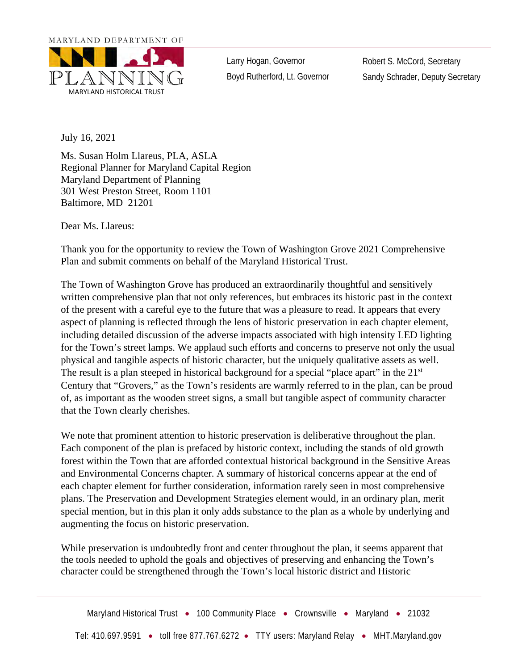MARYLAND DEPARTMENT OF



Larry Hogan, Governor Boyd Rutherford, Lt. Governor Robert S. McCord, Secretary Sandy Schrader, Deputy Secretary

July 16, 2021

Ms. Susan Holm Llareus, PLA, ASLA Regional Planner for Maryland Capital Region Maryland Department of Planning 301 West Preston Street, Room 1101 Baltimore, MD 21201

Dear Ms. Llareus:

Thank you for the opportunity to review the Town of Washington Grove 2021 Comprehensive Plan and submit comments on behalf of the Maryland Historical Trust.

The Town of Washington Grove has produced an extraordinarily thoughtful and sensitively written comprehensive plan that not only references, but embraces its historic past in the context of the present with a careful eye to the future that was a pleasure to read. It appears that every aspect of planning is reflected through the lens of historic preservation in each chapter element, including detailed discussion of the adverse impacts associated with high intensity LED lighting for the Town's street lamps. We applaud such efforts and concerns to preserve not only the usual physical and tangible aspects of historic character, but the uniquely qualitative assets as well. The result is a plan steeped in historical background for a special "place apart" in the 21<sup>st</sup> Century that "Grovers," as the Town's residents are warmly referred to in the plan, can be proud of, as important as the wooden street signs, a small but tangible aspect of community character that the Town clearly cherishes.

We note that prominent attention to historic preservation is deliberative throughout the plan. Each component of the plan is prefaced by historic context, including the stands of old growth forest within the Town that are afforded contextual historical background in the Sensitive Areas and Environmental Concerns chapter. A summary of historical concerns appear at the end of each chapter element for further consideration, information rarely seen in most comprehensive plans. The Preservation and Development Strategies element would, in an ordinary plan, merit special mention, but in this plan it only adds substance to the plan as a whole by underlying and augmenting the focus on historic preservation.

While preservation is undoubtedly front and center throughout the plan, it seems apparent that the tools needed to uphold the goals and objectives of preserving and enhancing the Town's character could be strengthened through the Town's local historic district and Historic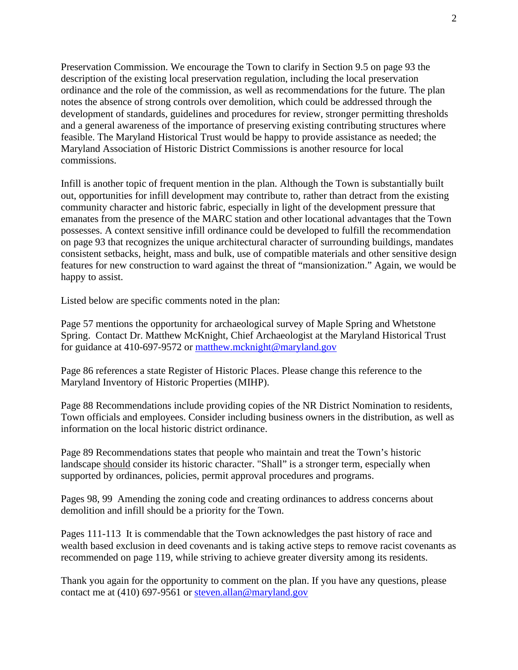Preservation Commission. We encourage the Town to clarify in Section 9.5 on page 93 the description of the existing local preservation regulation, including the local preservation ordinance and the role of the commission, as well as recommendations for the future. The plan notes the absence of strong controls over demolition, which could be addressed through the development of standards, guidelines and procedures for review, stronger permitting thresholds and a general awareness of the importance of preserving existing contributing structures where feasible. The Maryland Historical Trust would be happy to provide assistance as needed; the Maryland Association of Historic District Commissions is another resource for local commissions.

Infill is another topic of frequent mention in the plan. Although the Town is substantially built out, opportunities for infill development may contribute to, rather than detract from the existing community character and historic fabric, especially in light of the development pressure that emanates from the presence of the MARC station and other locational advantages that the Town possesses. A context sensitive infill ordinance could be developed to fulfill the recommendation on page 93 that recognizes the unique architectural character of surrounding buildings, mandates consistent setbacks, height, mass and bulk, use of compatible materials and other sensitive design features for new construction to ward against the threat of "mansionization." Again, we would be happy to assist.

Listed below are specific comments noted in the plan:

Page 57 mentions the opportunity for archaeological survey of Maple Spring and Whetstone Spring. Contact Dr. Matthew McKnight, Chief Archaeologist at the Maryland Historical Trust for guidance at 410-697-9572 or matthew.mcknight@maryland.gov

Page 86 references a state Register of Historic Places. Please change this reference to the Maryland Inventory of Historic Properties (MIHP).

Page 88 Recommendations include providing copies of the NR District Nomination to residents, Town officials and employees. Consider including business owners in the distribution, as well as information on the local historic district ordinance.

Page 89 Recommendations states that people who maintain and treat the Town's historic landscape should consider its historic character. "Shall" is a stronger term, especially when supported by ordinances, policies, permit approval procedures and programs.

Pages 98, 99 Amending the zoning code and creating ordinances to address concerns about demolition and infill should be a priority for the Town.

Pages 111-113 It is commendable that the Town acknowledges the past history of race and wealth based exclusion in deed covenants and is taking active steps to remove racist covenants as recommended on page 119, while striving to achieve greater diversity among its residents.

Thank you again for the opportunity to comment on the plan. If you have any questions, please contact me at (410) 697-9561 or steven.allan@maryland.gov